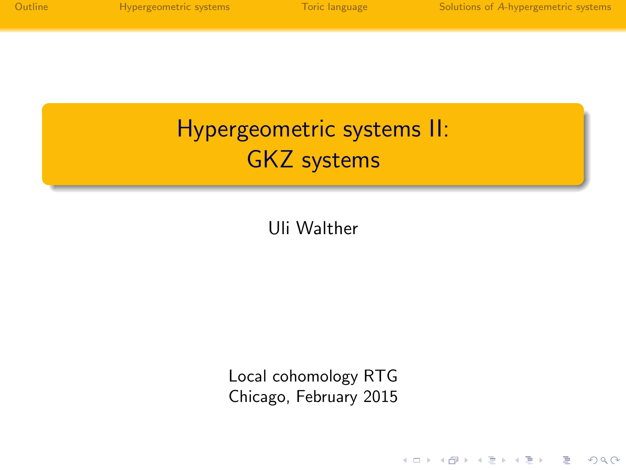| Outline |  |  |  |  |
|---------|--|--|--|--|
|         |  |  |  |  |
|         |  |  |  |  |

イロメ イ部メ イミメ イヨメー

重。  $2Q$ 

Hypergeometric systems II: GKZ systems

Uli Walther

Local cohomology RTG Chicago, February 2015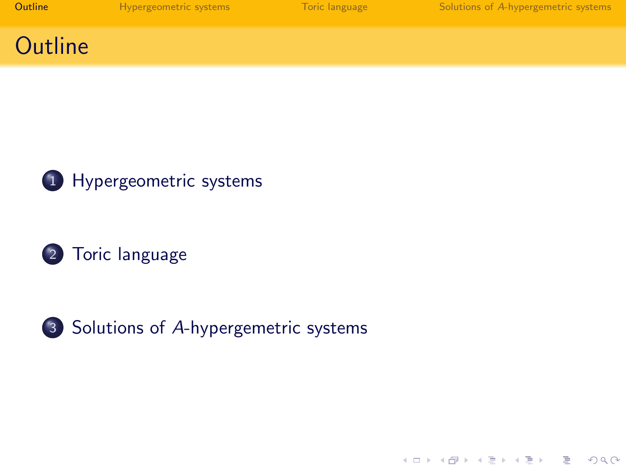| Outline |  |  |  |
|---------|--|--|--|
|         |  |  |  |

イロン イ部ン イミン イミン

高山  $2Q$ 

#### **Outline**







3 Solutions of A[-hypergemetric systems](#page-9-0)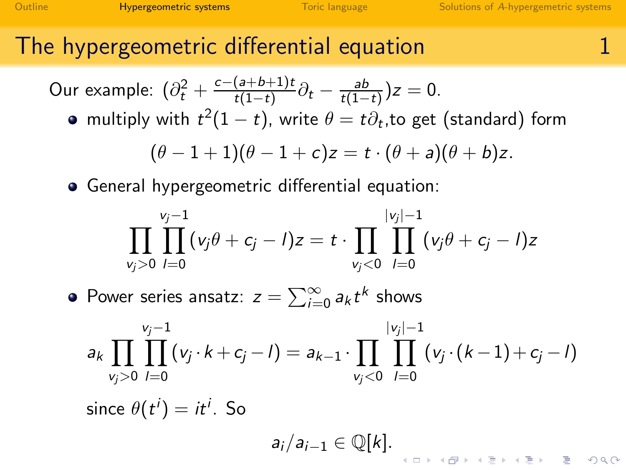### The hypergeometric differential equation 1

Our example:  $(\partial_t^2 + \frac{c-(a+b+1)t}{t(1-t)})$  $\frac{(a+b+1)t}{t(1-t)}\partial_t - \frac{ab}{t(1-t)}$  $\frac{ab}{t(1-t)}$ ) $z = 0$ .

multiply with  $t^2(1-t)$ , write  $\theta=t\partial_t,$ to get (standard) form

$$
(\theta-1+1)(\theta-1+c)z=t\cdot(\theta+a)(\theta+b)z.
$$

General hypergeometric differential equation:

$$
\prod_{v_j>0}\prod_{l=0}^{v_j-1}(v_j\theta+c_j-l)z=t\cdot\prod_{v_j<0}\prod_{l=0}^{|v_j|-1}(v_j\theta+c_j-l)z
$$

Power series ansatz:  $z = \sum_{i=0}^{\infty} a_k t^k$  shows

<span id="page-2-0"></span>
$$
a_k \prod_{v_j>0} \prod_{l=0}^{v_j-1} (v_j \cdot k + c_j - l) = a_{k-1} \cdot \prod_{v_j<0} \prod_{l=0}^{|v_j|-1} (v_j \cdot (k-1) + c_j - l)
$$
  
since  $\theta(t^i) = it^i$ . So

 $a_i/a_{i-1} \in \mathbb{Q}[k].$ ।<br>∢□→ ∢@ → ∢≣→ ∢≣→ · ■ → ⊙Q (<del>^</del>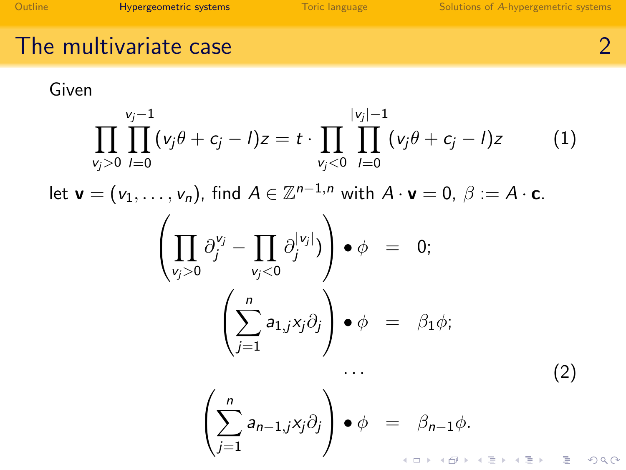#### The multivariate case 200 and 200 and 200 and 200 and 200 and 200 and 200 and 200 and 200 and 200 and 200 and 200 and 200 and 200 and 200 and 200 and 200 and 200 and 200 and 200 and 200 and 200 and 200 and 200 and 200 and

<span id="page-3-1"></span>

Given

<span id="page-3-2"></span><span id="page-3-0"></span>
$$
\prod_{v_j>0} \prod_{l=0}^{v_j-1} (v_j \theta + c_j - l)z = t \cdot \prod_{v_j<0} \prod_{l=0}^{|v_j|-1} (v_j \theta + c_j - l)z \qquad (1)
$$
  
let  $\mathbf{v} = (v_1, ..., v_n)$ , find  $A \in \mathbb{Z}^{n-1,n}$  with  $A \cdot \mathbf{v} = 0$ ,  $\beta := A \cdot \mathbf{c}$ .  

$$
\left( \prod_{v_j>0} \partial_j^{v_j} - \prod_{v_j<0} \partial_j^{|v_j|} \right) \bullet \phi = 0;
$$

$$
\left( \sum_{j=1}^n a_{1,j} x_j \partial_j \right) \bullet \phi = \beta_1 \phi;
$$

$$
\cdots \qquad (2)
$$

$$
\left( \sum_{j=1}^n a_{n-1,j} x_j \partial_j \right) \bullet \phi = \beta_{n-1} \phi.
$$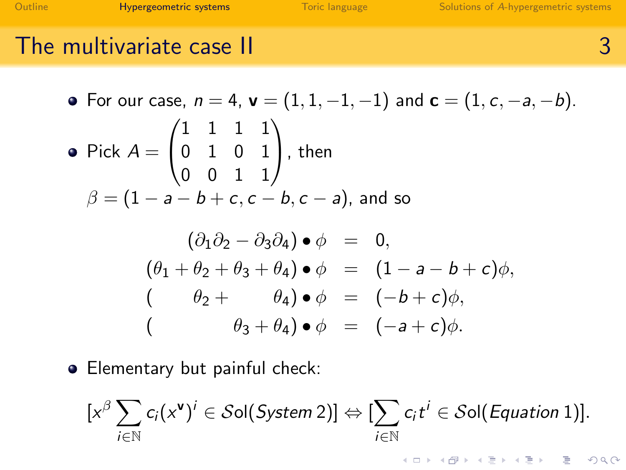## The multivariate case II 3 and 3 3

• For our case, 
$$
n = 4
$$
,  $\mathbf{v} = (1, 1, -1, -1)$  and  $\mathbf{c} = (1, c, -a, -b)$ .  
\n• Pick  $A = \begin{pmatrix} 1 & 1 & 1 & 1 \\ 0 & 1 & 0 & 1 \\ 0 & 0 & 1 & 1 \end{pmatrix}$ , then  
\n
$$
\beta = (1 - a - b + c, c - b, c - a)
$$
, and so  
\n
$$
(\partial_1 \partial_2 - \partial_3 \partial_4) \cdot \phi = 0,
$$
\n
$$
(\theta_1 + \theta_2 + \theta_3 + \theta_4) \cdot \phi = (1 - a - b + c)\phi,
$$
\n
$$
(\theta_2 + \theta_3 + \theta_4) \cdot \phi = (-b + c)\phi,
$$
\n
$$
(\theta_3 + \theta_4) \cdot \phi = (-a + c)\phi.
$$

**•** Elementary but painful check:

<span id="page-4-0"></span>
$$
[x^{\beta}\sum_{i\in\mathbb{N}}c_i(x^{\mathbf{v}})^i\in\mathcal{S}\text{ol}(System\ 2)]\Leftrightarrow[\sum_{i\in\mathbb{N}}c_i t^i\in\mathcal{S}\text{ol}(Equation\ 1)].
$$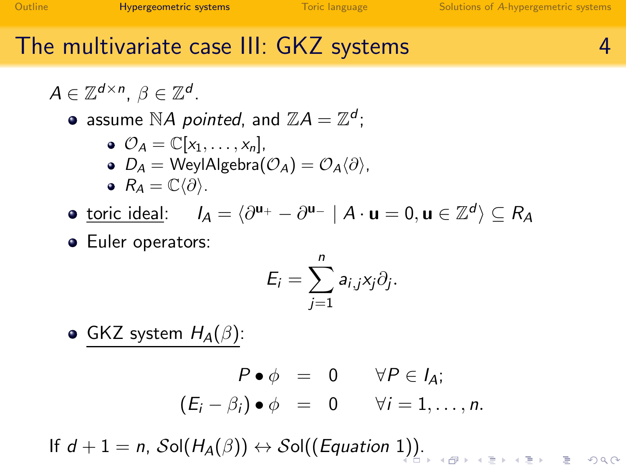## The multivariate case III: GKZ systems 4

 $A \in \mathbb{Z}^{d \times n}$ ,  $\beta \in \mathbb{Z}^d$ .

assume  $\mathbb{N}A$  pointed, and  $\mathbb{Z}A=\mathbb{Z}^d$ ;

\n- $$
\mathcal{O}_A = \mathbb{C}[x_1, \ldots, x_n],
$$
\n- $D_A = \text{WeylAlgebra}(\mathcal{O}_A) = \mathcal{O}_A \langle \partial \rangle,$
\n- $R_A = \mathbb{C} \langle \partial \rangle.$
\n

<u>toric ideal</u>:  $I_A = \langle \partial^{u_+} - \partial^{u_-} | A \cdot u = 0, u \in \mathbb{Z}^d \rangle \subseteq R_A$ 

**•** Euler operators:

$$
E_i=\sum_{j=1}^n a_{i,j}x_j\partial_j.
$$

GKZ system  $H_A(\beta)$ :

$$
P \bullet \phi = 0 \qquad \forall P \in I_A; (E_i - \beta_i) \bullet \phi = 0 \qquad \forall i = 1, ..., n.
$$

If  $d + 1 = n$  $d + 1 = n$  $d + 1 = n$ ,  $\mathcal{S}ol(H_A(\beta)) \leftrightarrow \mathcal{S}ol((Equation 1))$  $\mathcal{S}ol(H_A(\beta)) \leftrightarrow \mathcal{S}ol((Equation 1))$  $\mathcal{S}ol(H_A(\beta)) \leftrightarrow \mathcal{S}ol((Equation 1))$ [.](#page-6-0)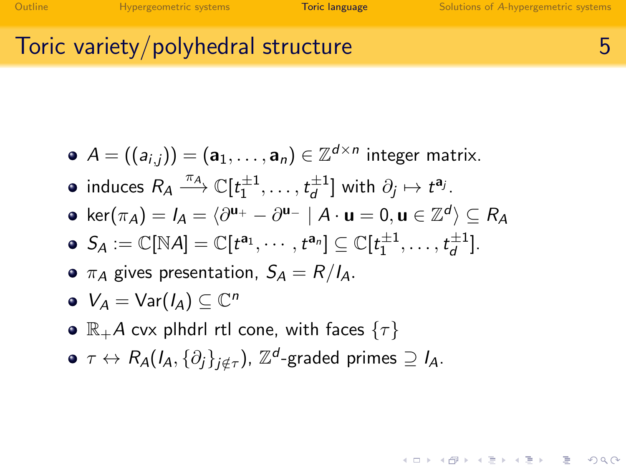**KORK ERRY ABRICAN BIRD AGA** 

### Toric variety/polyhedral structure 5

- $\mathcal{A} = ((\mathsf{a}_{i,j})) = (\mathsf{a}_1, \ldots, \mathsf{a}_n) \in \mathbb{Z}^{d \times n}$  integer matrix.
- induces  $R_A \stackrel{\pi_A}{\longrightarrow} \mathbb{C}[t_1^{\pm 1},\ldots,t_d^{\pm 1}]$  with  $\partial_j \mapsto t^{\mathbf{a}_j}$ .
- $\mathsf{ker}(\pi_\mathcal{A}) = \mathit{I}_\mathcal{A} = \langle \partial^{\mathbf{u}_+} \partial^{\mathbf{u}_-} \mid A \cdot \mathbf{u} = 0, \mathbf{u} \in \mathbb{Z}^d \rangle \subseteq \mathit{R}_\mathcal{A}$
- $S_A := \mathbb{C}[\mathbb{N}A] = \mathbb{C}[t^{\mathsf{a}_1}, \cdots, t^{\mathsf{a}_n}] \subseteq \mathbb{C}[t_1^{\pm 1}, \ldots, t_d^{\pm 1}].$
- $\bullet$   $\pi_A$  gives presentation,  $S_A = R/I_A$ .

$$
\bullet\ \ V_A=\text{Var}(I_A)\subseteq\mathbb{C}^n
$$

- $\bullet \mathbb{R}_+$ A cvx plhdrl rtl cone, with faces  $\{\tau\}$
- <span id="page-6-0"></span> $\tau\leftrightarrow R_\mathcal{A}(I_\mathcal{A},\{\partial_j\}_{j\notin\tau})$ ,  $\mathbb{Z}^d$ -graded primes  $\supseteq I_\mathcal{A}.$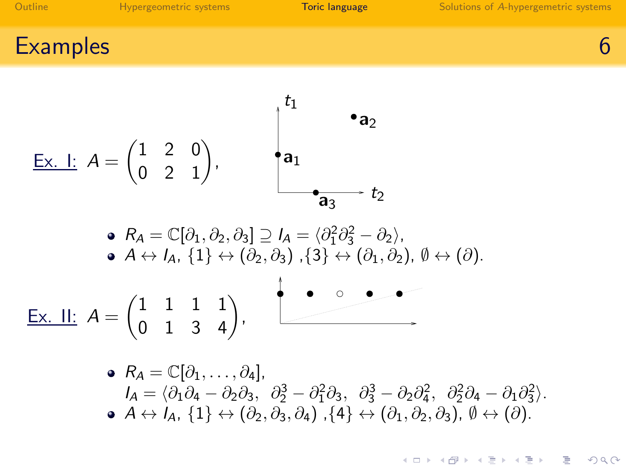**KORK ERRY A BY A BY A GOV** 

Examples 6 and the set of the set of the set of the set of the set of the set of the set of the set of the set

$$
\begin{array}{ccc}\n\underline{\text{Ex. I:}} & A = \begin{pmatrix} 1 & 2 & 0 \\ 0 & 2 & 1 \end{pmatrix}, & A_1 \\
\bullet & A_2 \\
\bullet & B_3\n\end{array}
$$
\n
$$
\bullet R_A = \mathbb{C}[\partial_1, \partial_2, \partial_3] \supseteq I_A = \langle \partial_1^2 \partial_3^2 - \partial_2 \rangle,
$$
\n
$$
\bullet & A \leftrightarrow I_A, \{1\} \leftrightarrow (\partial_2, \partial_3), \{3\} \leftrightarrow (\partial_1, \partial_2), \emptyset \leftrightarrow (\partial_1).\n\end{array}
$$
\n
$$
\begin{array}{ccc}\n\underline{\text{Ex. II:}} & A = \begin{pmatrix} 1 & 1 & 1 & 1 \\ 0 & 1 & 3 & 4 \end{pmatrix}, & A_2\n\end{array}
$$

 $R_A = \mathbb{C}[\partial_1, \ldots, \partial_4],$  $I_A = \langle \partial_1 \partial_4 - \partial_2 \partial_3, \ \partial_2^3 - \partial_1^2 \partial_3, \ \partial_3^3 - \partial_2 \partial_4^2, \ \partial_2^2 \partial_4 - \partial_1 \partial_3^2 \rangle.$  $\bullet$   $A \leftrightarrow I_A$ ,  $\{1\} \leftrightarrow (\partial_2, \partial_3, \partial_4)$ ,  $\{4\} \leftrightarrow (\partial_1, \partial_2, \partial_3)$ ,  $\emptyset \leftrightarrow (\partial)$ .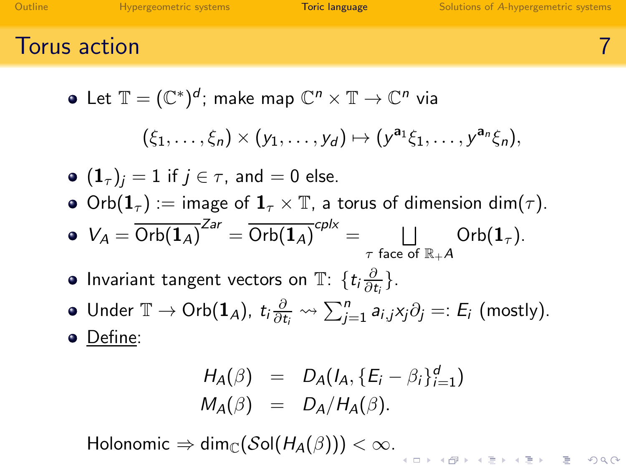$200$ 

Torus action 7

• Let 
$$
\mathbb{T} = (\mathbb{C}^*)^d
$$
; make map  $\mathbb{C}^n \times \mathbb{T} \to \mathbb{C}^n$  via

$$
(\xi_1,\ldots,\xi_n)\times (y_1,\ldots,y_d)\mapsto (y^{\mathbf{a}_1}\xi_1,\ldots,y^{\mathbf{a}_n}\xi_n),
$$

$$
\bullet \ (\mathbf{1}_{\tau})_{j}=1 \text{ if } j \in \tau \text{, and } =0 \text{ else.}
$$

• Orb $(\mathbf{1}_{\tau})$  := image of  $\mathbf{1}_{\tau}\times\mathbb{T}$ , a torus of dimension dim $(\tau)$ .

$$
\bullet \ \ V_A = \overline{\text{Orb}(\mathbf{1}_A)}^{\text{Zar}} = \overline{\text{Orb}(\mathbf{1}_A)}^{\text{cplx}} = \bigsqcup_{\tau \text{ face of } \mathbb{R}_+ A} \text{Orb}(\mathbf{1}_\tau).
$$

- Invariant tangent vectors on  $\mathbb{T}$ :  $\{t_i \frac{\partial}{\partial t_i}\}$ .
- Under  $\mathbb{T} \to \mathrm{Orb}(\mathbf{1}_A)$ ,  $t_i \frac{\partial}{\partial t_i} \leadsto \sum_{j=1}^n a_{i,j} x_j \partial_j =: E_i \text{ (mostly)}.$

• Define:

$$
H_A(\beta) = D_A(I_A, \{E_i - \beta_i\}_{i=1}^d)
$$
  

$$
M_A(\beta) = D_A/H_A(\beta).
$$

<span id="page-8-0"></span>Holonomic  $\Rightarrow$  dim<sub>C</sub>(Sol(H<sub>A</sub>( $\beta$ ))) <  $\infty$ .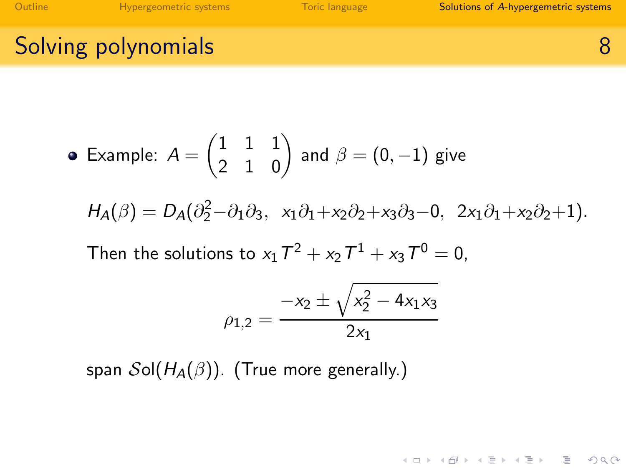[Outline](#page-3-0) **Hypergeometric systems** [Toric language](#page-6-0) **Solutions of A[-hypergemetric systems](#page-9-0)** Solutions of A-hypergemetric systems

## Solving polynomials 8

• Example: 
$$
A = \begin{pmatrix} 1 & 1 & 1 \ 2 & 1 & 0 \end{pmatrix}
$$
 and  $\beta = (0, -1)$  give  
\n
$$
H_A(\beta) = D_A(\partial_2^2 - \partial_1 \partial_3, x_1 \partial_1 + x_2 \partial_2 + x_3 \partial_3 - 0, 2x_1 \partial_1 + x_2 \partial_2 + 1).
$$
\nThen the solutions to  $x_1 T^2 + x_2 T^1 + x_3 T^0 = 0$ ,  
\n
$$
-x_2 \pm \sqrt{x_2^2 - 4x_1 x_3}
$$

$$
\rho_{1,2} = \frac{-x_2 \pm \sqrt{x_2^2 - 4x_1x_3}}{2x_1}
$$

<span id="page-9-0"></span>span  $\mathcal{S}ol(H_{\mathcal{A}}(\beta))$ . (True more generally.)

K ロ ▶ K 레 ▶ K 코 ▶ K 코 ▶ 『 코 │ ◆ 9 Q (\*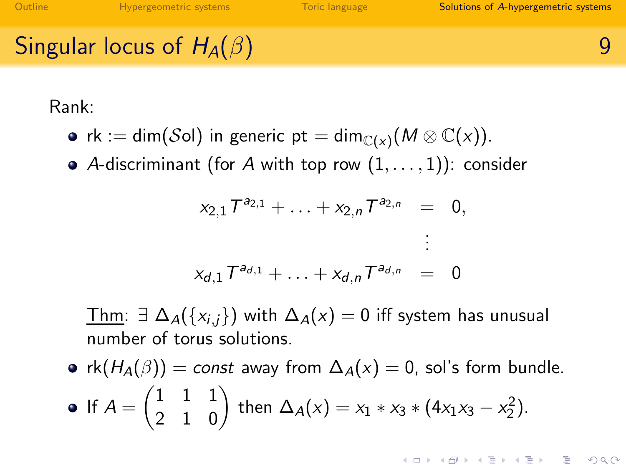# Singular locus of  $H_A(\beta)$  9

Rank:

- rk := dim $(\mathcal{S}$ ol) in generic pt = dim $_{\mathbb{C}(\mathsf{x})}(\mathsf{M} \otimes \mathbb{C}(\mathsf{x})).$
- A-discriminant (for A with top row  $(1, \ldots, 1)$ ): consider

$$
x_{2,1}T^{a_{2,1}} + \ldots + x_{2,n}T^{a_{2,n}} = 0,
$$
  

$$
\vdots
$$
  

$$
x_{d,1}T^{a_{d,1}} + \ldots + x_{d,n}T^{a_{d,n}} = 0
$$

Thm:  $\exists \Delta_A(\{x_{i,j}\})$  with  $\Delta_A(x) = 0$  iff system has unusual number of torus solutions.

•  $rk(H_A(\beta)) = const$  away from  $\Delta_A(x) = 0$ , sol's form bundle. If  $A = \begin{pmatrix} 1 & 1 & 1 \\ 2 & 1 & 0 \end{pmatrix}$  then  $\Delta_A(x) = x_1 * x_3 * (4x_1x_3 - x_2^2)$ .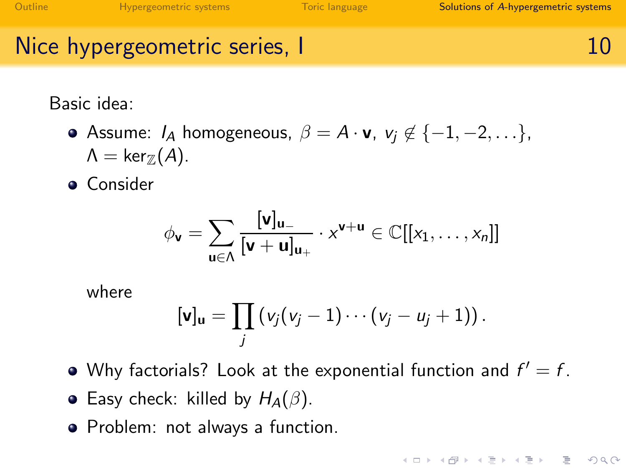**KOD KAD KED KED E VAN** 

## Nice hypergeometric series, I 10

Basic idea:

**•** Assume:  $I_A$  homogeneous,  $\beta = A \cdot v$ ,  $v_i \notin \{-1, -2, \ldots\}$ ,  $\Lambda = \text{ker}_{\mathbb{Z}}(A)$ .

**•** Consider

$$
\phi_{\boldsymbol{v}}=\sum_{\boldsymbol{u}\in\Lambda}\frac{[\boldsymbol{v}]_{\boldsymbol{u}_-}}{[\boldsymbol{v}+\boldsymbol{u}]_{\boldsymbol{u}_+}}\cdot x^{\boldsymbol{v}+\boldsymbol{u}}\in\mathbb{C}[[x_1,\ldots,x_n]]
$$

where

$$
[\mathbf{v}]_{\mathbf{u}} = \prod_j (v_j(v_j-1)\cdots(v_j-u_j+1)).
$$

- Why factorials? Look at the exponential function and  $f' = f$ .
- Easy check: killed by  $H_A(\beta)$ .
- <span id="page-11-0"></span>• Problem: not always a function.